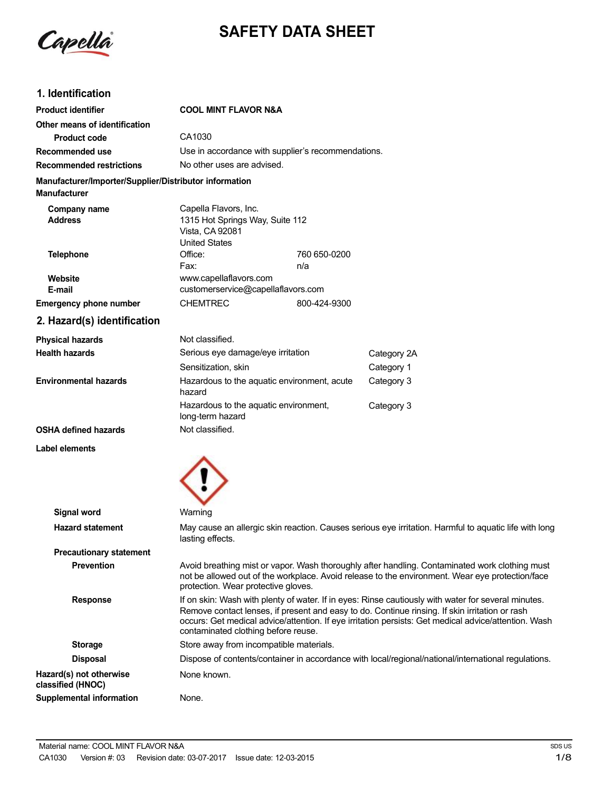

# **SAFETY DATA SHEET**

## **1. Identification**

| <b>Product identifier</b>                                                     | <b>COOL MINT FLAVOR N&amp;A</b>                                                                     |                     |             |
|-------------------------------------------------------------------------------|-----------------------------------------------------------------------------------------------------|---------------------|-------------|
| Other means of identification                                                 |                                                                                                     |                     |             |
| <b>Product code</b>                                                           | CA1030                                                                                              |                     |             |
| Recommended use                                                               | Use in accordance with supplier's recommendations.                                                  |                     |             |
| <b>Recommended restrictions</b>                                               | No other uses are advised.                                                                          |                     |             |
| Manufacturer/Importer/Supplier/Distributor information<br><b>Manufacturer</b> |                                                                                                     |                     |             |
| Company name<br><b>Address</b>                                                | Capella Flavors, Inc.<br>1315 Hot Springs Way, Suite 112<br>Vista, CA 92081<br><b>United States</b> |                     |             |
| <b>Telephone</b>                                                              | Office:<br>Fax:                                                                                     | 760 650-0200<br>n/a |             |
| Website<br>E-mail                                                             | www.capellaflavors.com<br>customerservice@capellaflavors.com                                        |                     |             |
| <b>Emergency phone number</b>                                                 | <b>CHEMTREC</b>                                                                                     | 800-424-9300        |             |
| 2. Hazard(s) identification                                                   |                                                                                                     |                     |             |
| <b>Physical hazards</b>                                                       | Not classified.                                                                                     |                     |             |
| <b>Health hazards</b>                                                         | Serious eye damage/eye irritation                                                                   |                     | Category 2A |
|                                                                               | Sensitization, skin                                                                                 |                     | Category 1  |
| <b>Environmental hazards</b>                                                  | Hazardous to the aquatic environment, acute<br>hazard                                               |                     | Category 3  |
|                                                                               | Hazardous to the aquatic environment,<br>long-term hazard                                           |                     | Category 3  |
| <b>OSHA defined hazards</b>                                                   | Not classified.                                                                                     |                     |             |
| Label elements                                                                |                                                                                                     |                     |             |



| Signal word                                  | Warning                                                                                                                                                                                                                                                                                                                                              |
|----------------------------------------------|------------------------------------------------------------------------------------------------------------------------------------------------------------------------------------------------------------------------------------------------------------------------------------------------------------------------------------------------------|
| <b>Hazard statement</b>                      | May cause an allergic skin reaction. Causes serious eye irritation. Harmful to aquatic life with long<br>lasting effects.                                                                                                                                                                                                                            |
| <b>Precautionary statement</b>               |                                                                                                                                                                                                                                                                                                                                                      |
| <b>Prevention</b>                            | Avoid breathing mist or vapor. Wash thoroughly after handling. Contaminated work clothing must<br>not be allowed out of the workplace. Avoid release to the environment. Wear eye protection/face<br>protection. Wear protective gloves.                                                                                                             |
| <b>Response</b>                              | If on skin: Wash with plenty of water. If in eyes: Rinse cautiously with water for several minutes.<br>Remove contact lenses, if present and easy to do. Continue rinsing. If skin irritation or rash<br>occurs: Get medical advice/attention. If eye irritation persists: Get medical advice/attention. Wash<br>contaminated clothing before reuse. |
| <b>Storage</b>                               | Store away from incompatible materials.                                                                                                                                                                                                                                                                                                              |
| <b>Disposal</b>                              | Dispose of contents/container in accordance with local/regional/national/international regulations.                                                                                                                                                                                                                                                  |
| Hazard(s) not otherwise<br>classified (HNOC) | None known.                                                                                                                                                                                                                                                                                                                                          |
| Supplemental information                     | None.                                                                                                                                                                                                                                                                                                                                                |
|                                              |                                                                                                                                                                                                                                                                                                                                                      |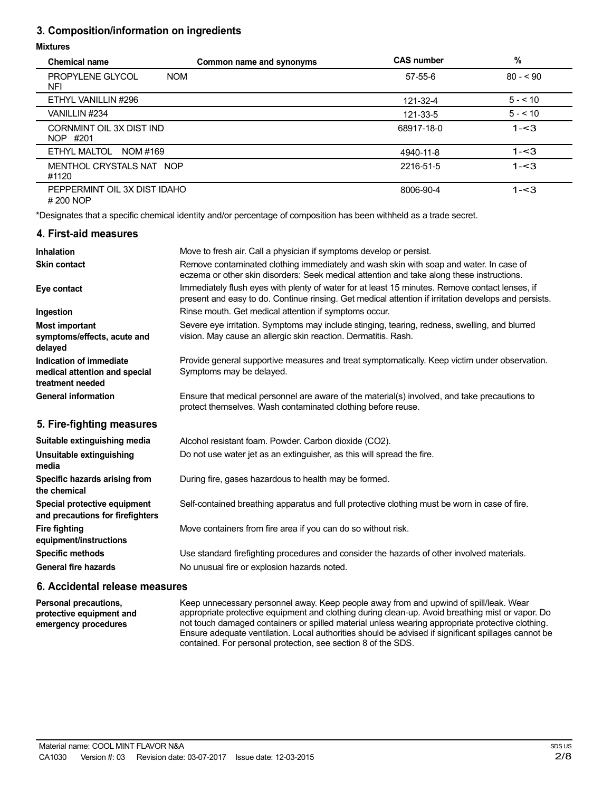## **3. Composition/information on ingredients**

#### **Mixtures**

| <b>Chemical name</b>                                         | Common name and synonyms | <b>CAS number</b> | $\%$      |
|--------------------------------------------------------------|--------------------------|-------------------|-----------|
| PROPYLENE GLYCOL<br><b>NOM</b><br><b>NFI</b>                 |                          | 57-55-6           | $80 - 90$ |
| ETHYL VANILLIN #296                                          |                          | 121-32-4          | $5 - 510$ |
| VANILLIN #234                                                |                          | 121-33-5          | $5 - 10$  |
| CORNMINT OIL 3X DIST IND<br>NOP #201                         |                          | 68917-18-0        | $1 - 3$   |
| ETHYL MALTOL<br>NOM #169                                     |                          | 4940-11-8         | $1 - 3$   |
| MENTHOL CRYSTALS NAT NOP<br>#1120                            |                          | 2216-51-5         | $1 - 3$   |
| PEPPERMINT OIL 3X DIST IDAHO<br>$H \cap \cap \cap \cup \cap$ |                          | 8006-90-4         | $1 - 3$   |

# 200 NOP

\*Designates that a specific chemical identity and/or percentage of composition has been withheld as a trade secret.

#### **4. First-aid measures**

| <b>Inhalation</b>                                                            | Move to fresh air. Call a physician if symptoms develop or persist.                                                                                                                                    |
|------------------------------------------------------------------------------|--------------------------------------------------------------------------------------------------------------------------------------------------------------------------------------------------------|
| <b>Skin contact</b>                                                          | Remove contaminated clothing immediately and wash skin with soap and water. In case of<br>eczema or other skin disorders: Seek medical attention and take along these instructions.                    |
| Eye contact                                                                  | Immediately flush eyes with plenty of water for at least 15 minutes. Remove contact lenses, if<br>present and easy to do. Continue rinsing. Get medical attention if irritation develops and persists. |
| Ingestion                                                                    | Rinse mouth. Get medical attention if symptoms occur.                                                                                                                                                  |
| <b>Most important</b><br>symptoms/effects, acute and<br>delayed              | Severe eye irritation. Symptoms may include stinging, tearing, redness, swelling, and blurred<br>vision. May cause an allergic skin reaction. Dermatitis. Rash.                                        |
| Indication of immediate<br>medical attention and special<br>treatment needed | Provide general supportive measures and treat symptomatically. Keep victim under observation.<br>Symptoms may be delayed.                                                                              |
| <b>General information</b>                                                   | Ensure that medical personnel are aware of the material(s) involved, and take precautions to<br>protect themselves. Wash contaminated clothing before reuse.                                           |
| 5. Fire-fighting measures                                                    |                                                                                                                                                                                                        |
| Suitable extinguishing media                                                 | Alcohol resistant foam. Powder. Carbon dioxide (CO2).                                                                                                                                                  |
| Unsuitable extinguishing<br>media                                            | Do not use water jet as an extinguisher, as this will spread the fire.                                                                                                                                 |
| Specific hazards arising from<br>the chemical                                | During fire, gases hazardous to health may be formed.                                                                                                                                                  |
| Special protective equipment<br>and precautions for firefighters             | Self-contained breathing apparatus and full protective clothing must be worn in case of fire.                                                                                                          |

Move containers from fire area if you can do so without risk.

Use standard firefighting procedures and consider the hazards of other involved materials. No unusual fire or explosion hazards noted.

#### **6. Accidental release measures**

**Fire fighting**

**equipment/instructions Specific methods General fire hazards**

**Personal precautions, protective equipment and emergency procedures** Keep unnecessary personnel away. Keep people away from and upwind of spill/leak. Wear appropriate protective equipment and clothing during clean-up. Avoid breathing mist or vapor. Do not touch damaged containers or spilled material unless wearing appropriate protective clothing. Ensure adequate ventilation. Local authorities should be advised if significant spillages cannot be contained. For personal protection, see section 8 of the SDS.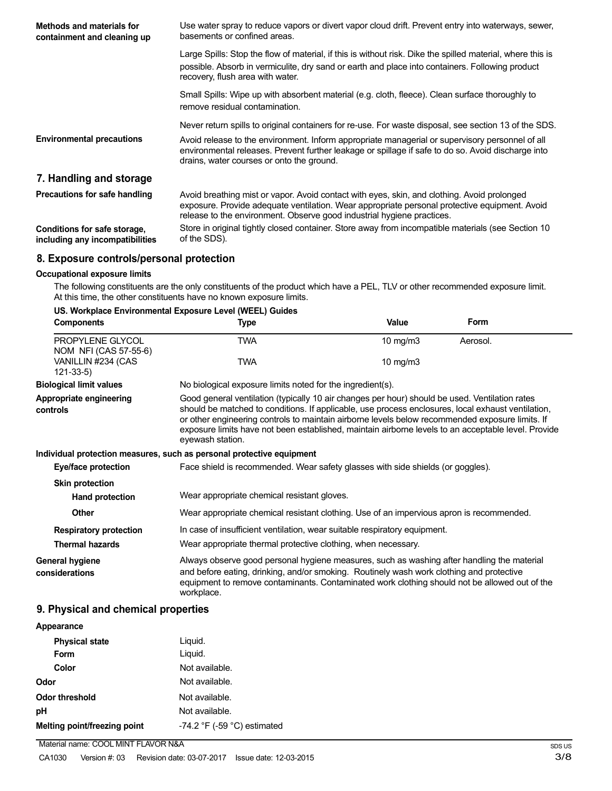| Methods and materials for<br>containment and cleaning up        | Use water spray to reduce vapors or divert vapor cloud drift. Prevent entry into waterways, sewer,<br>basements or confined areas.                                                                                                                                     |
|-----------------------------------------------------------------|------------------------------------------------------------------------------------------------------------------------------------------------------------------------------------------------------------------------------------------------------------------------|
|                                                                 | Large Spills: Stop the flow of material, if this is without risk. Dike the spilled material, where this is<br>possible. Absorb in vermiculite, dry sand or earth and place into containers. Following product<br>recovery, flush area with water.                      |
|                                                                 | Small Spills: Wipe up with absorbent material (e.g. cloth, fleece). Clean surface thoroughly to<br>remove residual contamination.                                                                                                                                      |
|                                                                 | Never return spills to original containers for re-use. For waste disposal, see section 13 of the SDS.                                                                                                                                                                  |
| <b>Environmental precautions</b>                                | Avoid release to the environment. Inform appropriate managerial or supervisory personnel of all<br>environmental releases. Prevent further leakage or spillage if safe to do so. Avoid discharge into<br>drains, water courses or onto the ground.                     |
| 7. Handling and storage                                         |                                                                                                                                                                                                                                                                        |
| Precautions for safe handling                                   | Avoid breathing mist or vapor. Avoid contact with eyes, skin, and clothing. Avoid prolonged<br>exposure. Provide adequate ventilation. Wear appropriate personal protective equipment. Avoid<br>release to the environment. Observe good industrial hygiene practices. |
| Conditions for safe storage,<br>including any incompatibilities | Store in original tightly closed container. Store away from incompatible materials (see Section 10<br>of the SDS).                                                                                                                                                     |

### **8. Exposure controls/personal protection**

#### **Occupational exposure limits**

The following constituents are the only constituents of the product which have a PEL, TLV or other recommended exposure limit. At this time, the other constituents have no known exposure limits.

| US. Workplace Environmental Exposure Level (WEEL) Guides |  |
|----------------------------------------------------------|--|
|----------------------------------------------------------|--|

| <b>Components</b>                         | Type                                                                                                                                                                                                                                                                                                                                                                                                                               | Value    | Form     |
|-------------------------------------------|------------------------------------------------------------------------------------------------------------------------------------------------------------------------------------------------------------------------------------------------------------------------------------------------------------------------------------------------------------------------------------------------------------------------------------|----------|----------|
| PROPYLENE GLYCOL<br>NOM NFI (CAS 57-55-6) | TWA                                                                                                                                                                                                                                                                                                                                                                                                                                | 10 mg/m3 | Aerosol. |
| VANILLIN #234 (CAS<br>$121 - 33 - 5$      | TWA                                                                                                                                                                                                                                                                                                                                                                                                                                | 10 mg/m3 |          |
| <b>Biological limit values</b>            | No biological exposure limits noted for the ingredient(s).                                                                                                                                                                                                                                                                                                                                                                         |          |          |
| Appropriate engineering<br>controls       | Good general ventilation (typically 10 air changes per hour) should be used. Ventilation rates<br>should be matched to conditions. If applicable, use process enclosures, local exhaust ventilation,<br>or other engineering controls to maintain airborne levels below recommended exposure limits. If<br>exposure limits have not been established, maintain airborne levels to an acceptable level. Provide<br>eyewash station. |          |          |
|                                           | Individual protection measures, such as personal protective equipment                                                                                                                                                                                                                                                                                                                                                              |          |          |
| Eye/face protection                       | Face shield is recommended. Wear safety glasses with side shields (or goggles).                                                                                                                                                                                                                                                                                                                                                    |          |          |
| <b>Skin protection</b>                    |                                                                                                                                                                                                                                                                                                                                                                                                                                    |          |          |
| Hand protection                           | Wear appropriate chemical resistant gloves.                                                                                                                                                                                                                                                                                                                                                                                        |          |          |
| <b>Other</b>                              | Wear appropriate chemical resistant clothing. Use of an impervious apron is recommended.                                                                                                                                                                                                                                                                                                                                           |          |          |
| <b>Respiratory protection</b>             | In case of insufficient ventilation, wear suitable respiratory equipment.                                                                                                                                                                                                                                                                                                                                                          |          |          |
| <b>Thermal hazards</b>                    | Wear appropriate thermal protective clothing, when necessary.                                                                                                                                                                                                                                                                                                                                                                      |          |          |
| General hygiene<br>considerations         | Always observe good personal hygiene measures, such as washing after handling the material<br>and before eating, drinking, and/or smoking. Routinely wash work clothing and protective<br>equipment to remove contaminants. Contaminated work clothing should not be allowed out of the<br>workplace.                                                                                                                              |          |          |

## **9. Physical and chemical properties**

| Appearance                   |                                               |
|------------------------------|-----------------------------------------------|
| <b>Physical state</b>        | Liguid.                                       |
| Form                         | Liquid.                                       |
| Color                        | Not available.                                |
| Odor                         | Not available.                                |
| <b>Odor threshold</b>        | Not available.                                |
| рH                           | Not available.                                |
| Melting point/freezing point | -74.2 $\degree$ F (-59 $\degree$ C) estimated |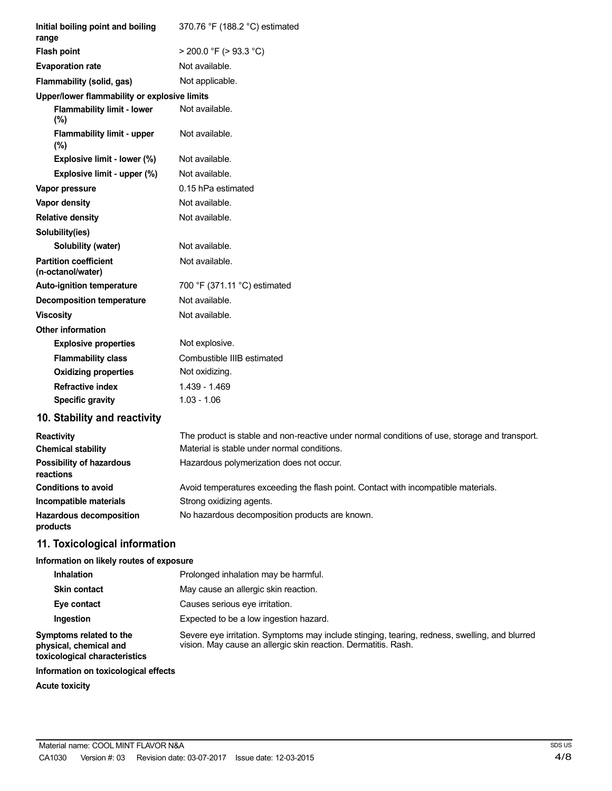| Initial boiling point and boiling<br>range        | 370.76 °F (188.2 °C) estimated |
|---------------------------------------------------|--------------------------------|
| <b>Flash point</b>                                | $>$ 200.0 °F ( $>$ 93.3 °C)    |
| <b>Evaporation rate</b>                           | Not available.                 |
| Flammability (solid, gas)                         | Not applicable.                |
| Upper/lower flammability or explosive limits      |                                |
| <b>Flammability limit - lower</b><br>$(\%)$       | Not available.                 |
| <b>Flammability limit - upper</b><br>$(\% )$      | Not available.                 |
| Explosive limit - lower (%)                       | Not available.                 |
| Explosive limit - upper (%)                       | Not available.                 |
| Vapor pressure                                    | 0.15 hPa estimated             |
| Vapor density                                     | Not available.                 |
| <b>Relative density</b>                           | Not available.                 |
| Solubility(ies)                                   |                                |
| Solubility (water)                                | Not available.                 |
| <b>Partition coefficient</b><br>(n-octanol/water) | Not available.                 |
| <b>Auto-ignition temperature</b>                  | 700 °F (371.11 °C) estimated   |
| <b>Decomposition temperature</b>                  | Not available.                 |
| <b>Viscosity</b>                                  | Not available.                 |
| <b>Other information</b>                          |                                |
| <b>Explosive properties</b>                       | Not explosive.                 |
| <b>Flammability class</b>                         | Combustible IIIB estimated     |
| <b>Oxidizing properties</b>                       | Not oxidizing.                 |
| <b>Refractive index</b>                           | 1.439 - 1.469                  |
| <b>Specific gravity</b>                           | $1.03 - 1.06$                  |
|                                                   |                                |

# **10. Stability and reactivity**

| <b>Reactivity</b>                            | The product is stable and non-reactive under normal conditions of use, storage and transport. |
|----------------------------------------------|-----------------------------------------------------------------------------------------------|
| <b>Chemical stability</b>                    | Material is stable under normal conditions.                                                   |
| <b>Possibility of hazardous</b><br>reactions | Hazardous polymerization does not occur.                                                      |
| <b>Conditions to avoid</b>                   | Avoid temperatures exceeding the flash point. Contact with incompatible materials.            |
| Incompatible materials                       | Strong oxidizing agents.                                                                      |
| <b>Hazardous decomposition</b><br>products   | No hazardous decomposition products are known.                                                |

# **11. Toxicological information**

### **Information on likely routes of exposure**

| <b>Inhalation</b>                                                                  | Prolonged inhalation may be harmful.                                                                                                                            |
|------------------------------------------------------------------------------------|-----------------------------------------------------------------------------------------------------------------------------------------------------------------|
| <b>Skin contact</b>                                                                | May cause an allergic skin reaction.                                                                                                                            |
| Eye contact                                                                        | Causes serious eye irritation.                                                                                                                                  |
| Ingestion                                                                          | Expected to be a low ingestion hazard.                                                                                                                          |
| Symptoms related to the<br>physical, chemical and<br>toxicological characteristics | Severe eye irritation. Symptoms may include stinging, tearing, redness, swelling, and blurred<br>vision. May cause an allergic skin reaction. Dermatitis. Rash. |
| Information on toxicological effects                                               |                                                                                                                                                                 |
| <b>Acute toxicity</b>                                                              |                                                                                                                                                                 |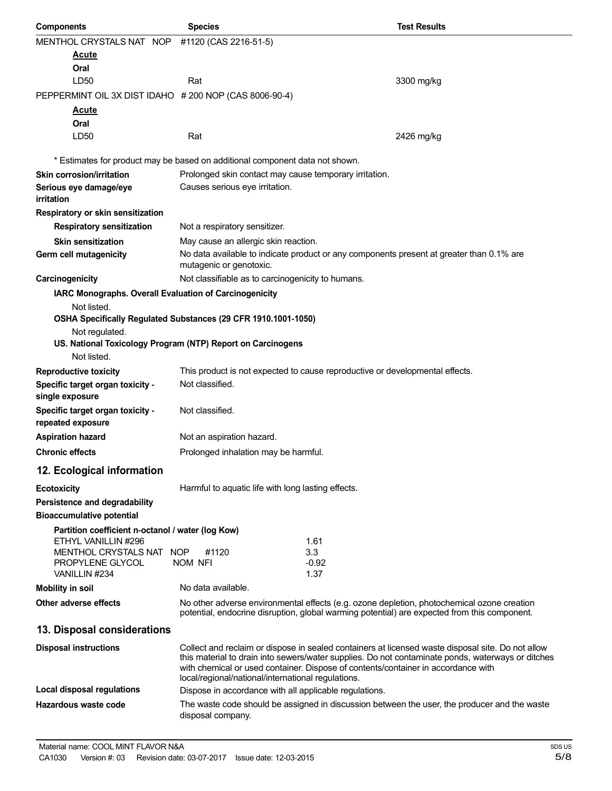| <b>Components</b>                                                        | <b>Species</b>                                                                                                                                                                                                                                                                                                                                    | <b>Test Results</b> |
|--------------------------------------------------------------------------|---------------------------------------------------------------------------------------------------------------------------------------------------------------------------------------------------------------------------------------------------------------------------------------------------------------------------------------------------|---------------------|
| MENTHOL CRYSTALS NAT NOP                                                 | #1120 (CAS 2216-51-5)                                                                                                                                                                                                                                                                                                                             |                     |
| <u>Acute</u>                                                             |                                                                                                                                                                                                                                                                                                                                                   |                     |
| Oral                                                                     |                                                                                                                                                                                                                                                                                                                                                   |                     |
| LD <sub>50</sub>                                                         | Rat                                                                                                                                                                                                                                                                                                                                               | 3300 mg/kg          |
| PEPPERMINT OIL 3X DIST IDAHO # 200 NOP (CAS 8006-90-4)                   |                                                                                                                                                                                                                                                                                                                                                   |                     |
| Acute                                                                    |                                                                                                                                                                                                                                                                                                                                                   |                     |
| Oral                                                                     |                                                                                                                                                                                                                                                                                                                                                   |                     |
| LD50                                                                     | Rat                                                                                                                                                                                                                                                                                                                                               | 2426 mg/kg          |
|                                                                          | * Estimates for product may be based on additional component data not shown.                                                                                                                                                                                                                                                                      |                     |
| <b>Skin corrosion/irritation</b>                                         | Prolonged skin contact may cause temporary irritation.                                                                                                                                                                                                                                                                                            |                     |
| Serious eye damage/eye<br>irritation                                     | Causes serious eye irritation.                                                                                                                                                                                                                                                                                                                    |                     |
| Respiratory or skin sensitization                                        |                                                                                                                                                                                                                                                                                                                                                   |                     |
| <b>Respiratory sensitization</b>                                         | Not a respiratory sensitizer.                                                                                                                                                                                                                                                                                                                     |                     |
| <b>Skin sensitization</b>                                                | May cause an allergic skin reaction.                                                                                                                                                                                                                                                                                                              |                     |
| Germ cell mutagenicity                                                   | No data available to indicate product or any components present at greater than 0.1% are<br>mutagenic or genotoxic.                                                                                                                                                                                                                               |                     |
| Carcinogenicity                                                          | Not classifiable as to carcinogenicity to humans.                                                                                                                                                                                                                                                                                                 |                     |
| IARC Monographs. Overall Evaluation of Carcinogenicity                   |                                                                                                                                                                                                                                                                                                                                                   |                     |
| Not listed.                                                              |                                                                                                                                                                                                                                                                                                                                                   |                     |
|                                                                          | OSHA Specifically Regulated Substances (29 CFR 1910.1001-1050)                                                                                                                                                                                                                                                                                    |                     |
| Not regulated.                                                           |                                                                                                                                                                                                                                                                                                                                                   |                     |
| Not listed.                                                              | US. National Toxicology Program (NTP) Report on Carcinogens                                                                                                                                                                                                                                                                                       |                     |
|                                                                          |                                                                                                                                                                                                                                                                                                                                                   |                     |
| <b>Reproductive toxicity</b><br>Specific target organ toxicity -         | This product is not expected to cause reproductive or developmental effects.<br>Not classified.                                                                                                                                                                                                                                                   |                     |
| single exposure                                                          |                                                                                                                                                                                                                                                                                                                                                   |                     |
| Specific target organ toxicity -<br>repeated exposure                    | Not classified.                                                                                                                                                                                                                                                                                                                                   |                     |
| <b>Aspiration hazard</b>                                                 | Not an aspiration hazard.                                                                                                                                                                                                                                                                                                                         |                     |
| <b>Chronic effects</b>                                                   | Prolonged inhalation may be harmful.                                                                                                                                                                                                                                                                                                              |                     |
| 12. Ecological information                                               |                                                                                                                                                                                                                                                                                                                                                   |                     |
| <b>Ecotoxicity</b>                                                       | Harmful to aquatic life with long lasting effects.                                                                                                                                                                                                                                                                                                |                     |
| Persistence and degradability                                            |                                                                                                                                                                                                                                                                                                                                                   |                     |
| <b>Bioaccumulative potential</b>                                         |                                                                                                                                                                                                                                                                                                                                                   |                     |
| Partition coefficient n-octanol / water (log Kow)<br>ETHYL VANILLIN #296 | 1.61                                                                                                                                                                                                                                                                                                                                              |                     |
| MENTHOL CRYSTALS NAT NOP                                                 | 3.3<br>#1120                                                                                                                                                                                                                                                                                                                                      |                     |
| PROPYLENE GLYCOL<br>VANILLIN #234                                        | $-0.92$<br>NOM NFI<br>1.37                                                                                                                                                                                                                                                                                                                        |                     |
| <b>Mobility in soil</b>                                                  | No data available.                                                                                                                                                                                                                                                                                                                                |                     |
| Other adverse effects                                                    | No other adverse environmental effects (e.g. ozone depletion, photochemical ozone creation                                                                                                                                                                                                                                                        |                     |
|                                                                          | potential, endocrine disruption, global warming potential) are expected from this component.                                                                                                                                                                                                                                                      |                     |
| 13. Disposal considerations                                              |                                                                                                                                                                                                                                                                                                                                                   |                     |
| <b>Disposal instructions</b>                                             | Collect and reclaim or dispose in sealed containers at licensed waste disposal site. Do not allow<br>this material to drain into sewers/water supplies. Do not contaminate ponds, waterways or ditches<br>with chemical or used container. Dispose of contents/container in accordance with<br>local/regional/national/international regulations. |                     |
| Local disposal regulations                                               | Dispose in accordance with all applicable regulations.                                                                                                                                                                                                                                                                                            |                     |
| Hazardous waste code                                                     | The waste code should be assigned in discussion between the user, the producer and the waste<br>disposal company.                                                                                                                                                                                                                                 |                     |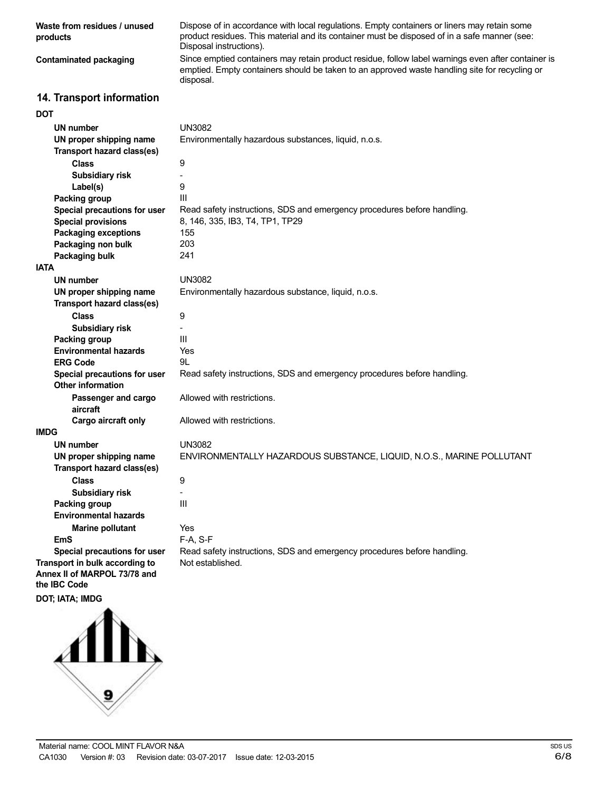| Waste from residues / unused<br>products                                       | Dispose of in accordance with local regulations. Empty containers or liners may retain some<br>product residues. This material and its container must be disposed of in a safe manner (see:<br>Disposal instructions). |
|--------------------------------------------------------------------------------|------------------------------------------------------------------------------------------------------------------------------------------------------------------------------------------------------------------------|
| <b>Contaminated packaging</b>                                                  | Since emptied containers may retain product residue, follow label warnings even after container is<br>emptied. Empty containers should be taken to an approved waste handling site for recycling or<br>disposal.       |
| 14. Transport information                                                      |                                                                                                                                                                                                                        |
| <b>DOT</b>                                                                     |                                                                                                                                                                                                                        |
| <b>UN number</b>                                                               | <b>UN3082</b>                                                                                                                                                                                                          |
| UN proper shipping name                                                        | Environmentally hazardous substances, liquid, n.o.s.                                                                                                                                                                   |
| Transport hazard class(es)                                                     |                                                                                                                                                                                                                        |
| <b>Class</b>                                                                   | 9                                                                                                                                                                                                                      |
| <b>Subsidiary risk</b>                                                         |                                                                                                                                                                                                                        |
| Label(s)                                                                       | 9                                                                                                                                                                                                                      |
| Packing group                                                                  | Ш                                                                                                                                                                                                                      |
| Special precautions for user                                                   | Read safety instructions, SDS and emergency procedures before handling.                                                                                                                                                |
| <b>Special provisions</b>                                                      | 8, 146, 335, IB3, T4, TP1, TP29                                                                                                                                                                                        |
| <b>Packaging exceptions</b>                                                    | 155<br>203                                                                                                                                                                                                             |
| Packaging non bulk<br>Packaging bulk                                           | 241                                                                                                                                                                                                                    |
| <b>IATA</b>                                                                    |                                                                                                                                                                                                                        |
| <b>UN number</b>                                                               | <b>UN3082</b>                                                                                                                                                                                                          |
| UN proper shipping name                                                        | Environmentally hazardous substance, liquid, n.o.s.                                                                                                                                                                    |
| <b>Transport hazard class(es)</b>                                              |                                                                                                                                                                                                                        |
| <b>Class</b>                                                                   | 9                                                                                                                                                                                                                      |
| Subsidiary risk                                                                |                                                                                                                                                                                                                        |
| Packing group                                                                  | III                                                                                                                                                                                                                    |
| <b>Environmental hazards</b>                                                   | Yes                                                                                                                                                                                                                    |
| <b>ERG Code</b>                                                                | 9L                                                                                                                                                                                                                     |
| Special precautions for user                                                   | Read safety instructions, SDS and emergency procedures before handling.                                                                                                                                                |
| <b>Other information</b>                                                       |                                                                                                                                                                                                                        |
| Passenger and cargo<br>aircraft                                                | Allowed with restrictions.                                                                                                                                                                                             |
| Cargo aircraft only                                                            | Allowed with restrictions.                                                                                                                                                                                             |
| <b>IMDG</b>                                                                    |                                                                                                                                                                                                                        |
| UN number                                                                      | <b>UN3082</b>                                                                                                                                                                                                          |
| UN proper shipping name                                                        | ENVIRONMENTALLY HAZARDOUS SUBSTANCE, LIQUID, N.O.S., MARINE POLLUTANT                                                                                                                                                  |
| Transport hazard class(es)                                                     |                                                                                                                                                                                                                        |
| <b>Class</b>                                                                   | 9                                                                                                                                                                                                                      |
| <b>Subsidiary risk</b>                                                         |                                                                                                                                                                                                                        |
| Packing group                                                                  | III                                                                                                                                                                                                                    |
| <b>Environmental hazards</b>                                                   |                                                                                                                                                                                                                        |
| <b>Marine pollutant</b>                                                        | Yes                                                                                                                                                                                                                    |
| <b>EmS</b>                                                                     | F-A, S-F                                                                                                                                                                                                               |
| Special precautions for user                                                   | Read safety instructions, SDS and emergency procedures before handling.                                                                                                                                                |
| Transport in bulk according to<br>Annex II of MARPOL 73/78 and<br>the IBC Code | Not established.                                                                                                                                                                                                       |
| DOT; IATA; IMDG                                                                |                                                                                                                                                                                                                        |
|                                                                                |                                                                                                                                                                                                                        |
|                                                                                |                                                                                                                                                                                                                        |

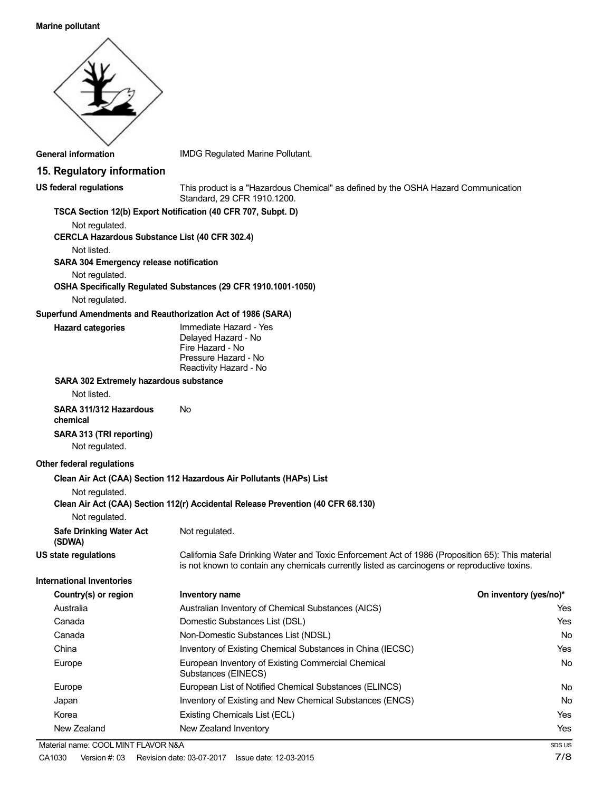#### **Marine pollutant**



No No Yes Yes

Yes Yes No Yes No